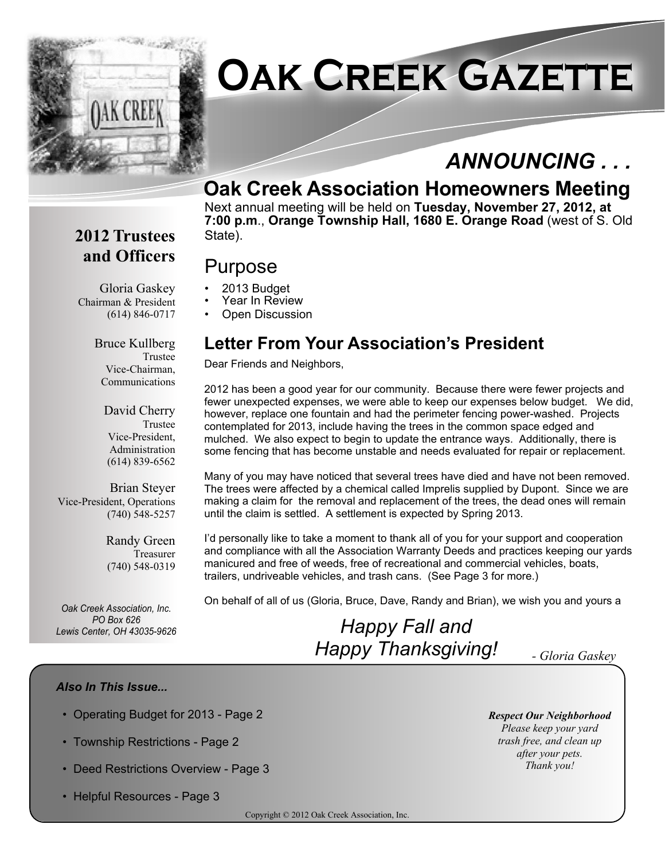

# **Oak Creek Gazette**

# *ANNOUNCING . . .*

# **Oak Creek Association Homeowners Meeting**

Next annual meeting will be held on **Tuesday, November 27, 2012, at 7:00 p.m**., **Orange Township Hall, 1680 E. Orange Road** (west of S. Old State).

### **2012 Trustees and Officers**

## Purpose

- Gloria Gaskey Chairman & President • 2013 Budget
	- Year In Review
	- Open Discussion

#### Bruce Kullberg Trustee Vice-Chairman, Communications

(614) 846-0717

David Cherry Trustee Vice-President, Administration (614) 839-6562

Brian Steyer Vice-President, Operations (740) 548-5257

> Randy Green Treasurer (740) 548-0319

*Oak Creek Association, Inc. PO Box 626*<br>*Lewis Center, OH 43035-9626* 

## **Letter From Your Association's President**

Dear Friends and Neighbors,

2012 has been a good year for our community. Because there were fewer projects and fewer unexpected expenses, we were able to keep our expenses below budget. We did, however, replace one fountain and had the perimeter fencing power-washed. Projects contemplated for 2013, include having the trees in the common space edged and mulched. We also expect to begin to update the entrance ways. Additionally, there is some fencing that has become unstable and needs evaluated for repair or replacement.

Many of you may have noticed that several trees have died and have not been removed. The trees were affected by a chemical called Imprelis supplied by Dupont. Since we are making a claim for the removal and replacement of the trees, the dead ones will remain until the claim is settled. A settlement is expected by Spring 2013.

I'd personally like to take a moment to thank all of you for your support and cooperation and compliance with all the Association Warranty Deeds and practices keeping our yards manicured and free of weeds, free of recreational and commercial vehicles, boats, trailers, undriveable vehicles, and trash cans. (See Page 3 for more.)

On behalf of all of us (Gloria, Bruce, Dave, Randy and Brian), we wish you and yours a

# *Lewis Center, OH 43035-9626 Happy Fall and Happy Thanksgiving! - Gloria Gaskey*

*Respect Our Neighborhood Please keep your yard trash free, and clean up after your pets. Thank you!*

#### *Also In This Issue...*

- Operating Budget for 2013 Page 2
- Township Restrictions Page 2
- Deed Restrictions Overview Page 3
- Helpful Resources Page 3

Copyright © 2012 Oak Creek Association, Inc.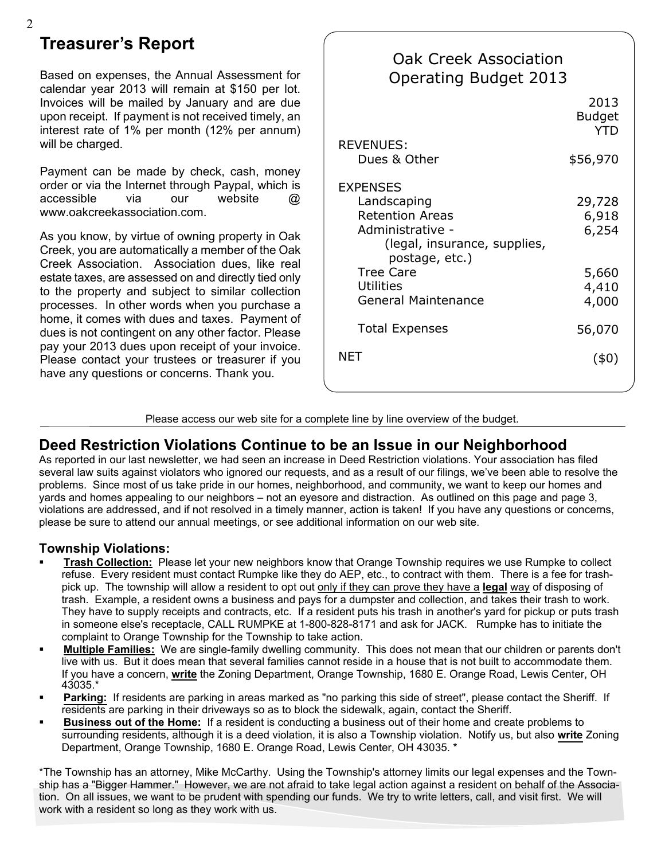## **Treasurer's Report**

Based on expenses, the Annual Assessment for calendar year 2013 will remain at \$150 per lot. Invoices will be mailed by January and are due upon receipt. If payment is not received timely, an interest rate of 1% per month (12% per annum) will be charged.

Payment can be made by check, cash, money order or via the Internet through Paypal, which is accessible via our website @ www.oakcreekassociation.com.

As you know, by virtue of owning property in Oak Creek, you are automatically a member of the Oak Creek Association. Association dues, like real estate taxes, are assessed on and directly tied only to the property and subject to similar collection processes. In other words when you purchase a home, it comes with dues and taxes. Payment of dues is not contingent on any other factor. Please pay your 2013 dues upon receipt of your invoice. Please contact your trustees or treasurer if you have any questions or concerns. Thank you.

#### 2013 Budget YTD \$56,970 29,728 6,918 6,254 5,660 4,410 4,000 56,070 (\$0) REVENUES: Dues & Other **EXPENSES**  Landscaping Retention Areas Administrative - (legal, insurance, supplies, postage, etc.) Tree Care **Utilities**  General Maintenance Total Expenses **NET** Oak Creek Association Operating Budget 2013

Please access our web site for a complete line by line overview of the budget.

#### **Deed Restriction Violations Continue to be an Issue in our Neighborhood**

As reported in our last newsletter, we had seen an increase in Deed Restriction violations. Your association has filed several law suits against violators who ignored our requests, and as a result of our filings, we've been able to resolve the problems. Since most of us take pride in our homes, neighborhood, and community, we want to keep our homes and yards and homes appealing to our neighbors – not an eyesore and distraction. As outlined on this page and page 3, violations are addressed, and if not resolved in a timely manner, action is taken! If you have any questions or concerns, please be sure to attend our annual meetings, or see additional information on our web site.

#### **Township Violations:**

- ß **Trash Collection:** Please let your new neighbors know that Orange Township requires we use Rumpke to collect refuse. Every resident must contact Rumpke like they do AEP, etc., to contract with them. There is a fee for trashpick up. The township will allow a resident to opt out only if they can prove they have a **legal** way of disposing of trash. Example, a resident owns a business and pays for a dumpster and collection, and takes their trash to work. They have to supply receipts and contracts, etc. If a resident puts his trash in another's yard for pickup or puts trash in someone else's receptacle, CALL RUMPKE at 1-800-828-8171 and ask for JACK. Rumpke has to initiate the complaint to Orange Township for the Township to take action.
- ß **Multiple Families:** We are single-family dwelling community. This does not mean that our children or parents don't live with us. But it does mean that several families cannot reside in a house that is not built to accommodate them. If you have a concern, **write** the Zoning Department, Orange Township, 1680 E. Orange Road, Lewis Center, OH 43035.\*
- Parking: If residents are parking in areas marked as "no parking this side of street", please contact the Sheriff. If residents are parking in their driveways so as to block the sidewalk, again, contact the Sheriff.
- ß **Business out of the Home:** If a resident is conducting a business out of their home and create problems to surrounding residents, although it is a deed violation, it is also a Township violation. Notify us, but also **write** Zoning Department, Orange Township, 1680 E. Orange Road, Lewis Center, OH 43035. \*

\*The Township has an attorney, Mike McCarthy. Using the Township's attorney limits our legal expenses and the Township has a "Bigger Hammer." However, we are not afraid to take legal action against a resident on behalf of the Association. On all issues, we want to be prudent with spending our funds. We try to write letters, call, and visit first. We will work with a resident so long as they work with us.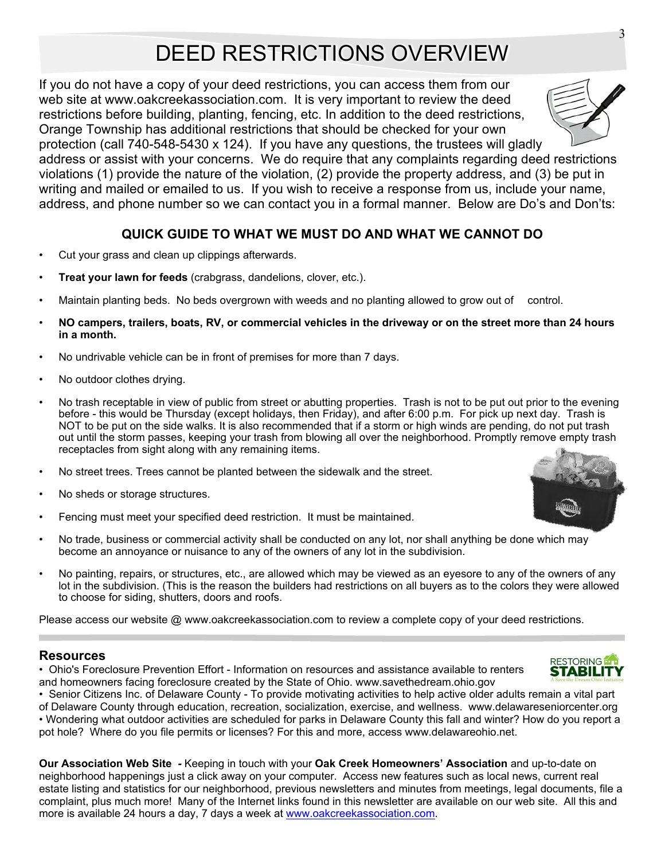# DEED RESTRICTIONS OVERVIEW

If you do not have a copy of your deed restrictions, you can access them from our web site at www.oakcreekassociation.com. It is very important to review the deed restrictions before building, planting, fencing, etc. In addition to the deed restrictions, Orange Township has additional restrictions that should be checked for your own protection (call 740-548-5430 x 124). If you have any questions, the trustees will gladly

address or assist with your concerns. We do require that any complaints regarding deed restrictions violations (1) provide the nature of the violation, (2) provide the property address, and (3) be put in writing and mailed or emailed to us. If you wish to receive a response from us, include your name, address, and phone number so we can contact you in a formal manner. Below are Do's and Don'ts:

#### **QUICK GUIDE TO WHAT WE MUST DO AND WHAT WE CANNOT DO**

- Cut your grass and clean up clippings afterwards.
- **Treat your lawn for feeds** (crabgrass, dandelions, clover, etc.).
- Maintain planting beds. No beds overgrown with weeds and no planting allowed to grow out of control.
- **NO campers, trailers, boats, RV, or commercial vehicles in the driveway or on the street more than 24 hours in a month.**
- No undrivable vehicle can be in front of premises for more than 7 days.
- No outdoor clothes drying.
- No trash receptable in view of public from street or abutting properties. Trash is not to be put out prior to the evening before - this would be Thursday (except holidays, then Friday), and after 6:00 p.m. For pick up next day. Trash is NOT to be put on the side walks. It is also recommended that if a storm or high winds are pending, do not put trash out until the storm passes, keeping your trash from blowing all over the neighborhood. Promptly remove empty trash receptacles from sight along with any remaining items.
- No street trees. Trees cannot be planted between the sidewalk and the street.
- No sheds or storage structures.
- Fencing must meet your specified deed restriction. It must be maintained.
- No trade, business or commercial activity shall be conducted on any lot, nor shall anything be done which may become an annoyance or nuisance to any of the owners of any lot in the subdivision.
- No painting, repairs, or structures, etc., are allowed which may be viewed as an eyesore to any of the owners of any lot in the subdivision. (This is the reason the builders had restrictions on all buyers as to the colors they were allowed to choose for siding, shutters, doors and roofs.

Please access our website @ www.oakcreekassociation.com to review a complete copy of your deed restrictions.

#### **Resources**

• Ohio's Foreclosure Prevention Effort - Information on resources and assistance available to renters and homeowners facing foreclosure created by the State of Ohio. www.savethedream.ohio.gov

• Senior Citizens Inc. of Delaware County - To provide motivating activities to help active older adults remain a vital part of Delaware County through education, recreation, socialization, exercise, and wellness. www.delawareseniorcenter.org • Wondering what outdoor activities are scheduled for parks in Delaware County this fall and winter? How do you report a pot hole? Where do you file permits or licenses? For this and more, access www.delawareohio.net.

**Our Association Web Site** *-* Keeping in touch with your **Oak Creek Homeowners' Association** and up-to-date on neighborhood happenings just a click away on your computer. Access new features such as local news, current real estate listing and statistics for our neighborhood, previous newsletters and minutes from meetings, legal documents, file a complaint, plus much more! Many of the Internet links found in this newsletter are available on our web site. All this and more is available 24 hours a day, 7 days a week at www.oakcreekassociation.com.